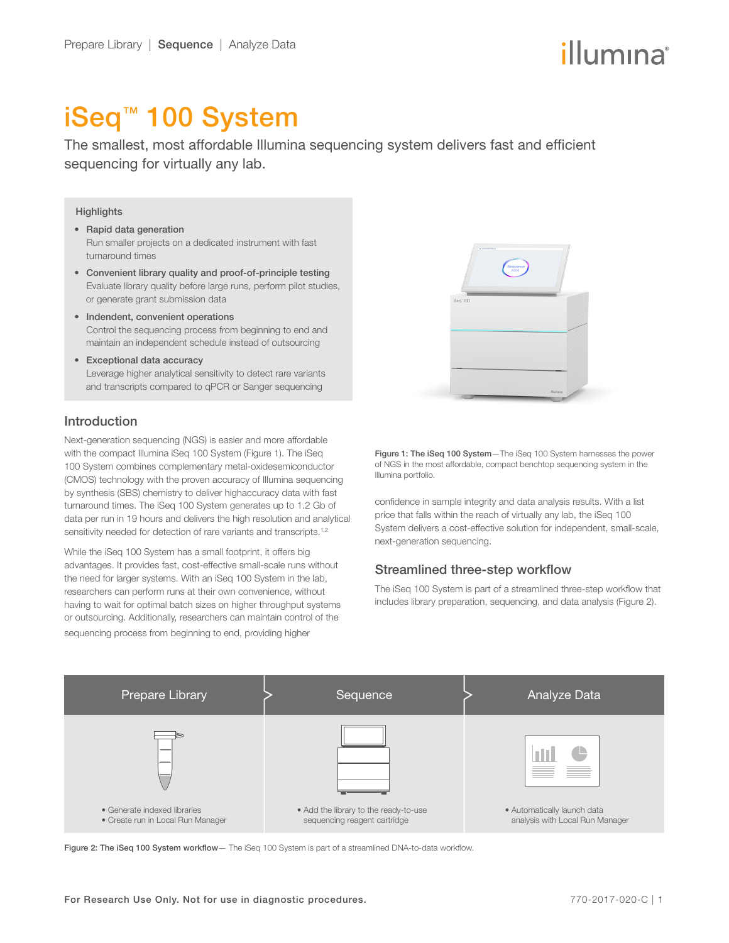# iSeq™ 100 System

The smallest, most affordable Illumina sequencing system delivers fast and efficient sequencing for virtually any lab.

#### **Highlights**

- Rapid data generation Run smaller projects on a dedicated instrument with fast turnaround times
- Convenient library quality and proof-of-principle testing Evaluate library quality before large runs, perform pilot studies, or generate grant submission data
- Indendent, convenient operations Control the sequencing process from beginning to end and maintain an independent schedule instead of outsourcing
- Exceptional data accuracy Leverage higher analytical sensitivity to detect rare variants and transcripts compared to qPCR or Sanger sequencing

# Introduction

Next-generation sequencing (NGS) is easier and more affordable with the compact Illumina iSeq 100 System (Figure 1). The iSeq 100 System combines complementary metal-oxidesemiconductor (CMOS) technology with the proven accuracy of Illumina sequencing by synthesis (SBS) chemistry to deliver highaccuracy data with fast turnaround times. The iSeq 100 System generates up to 1.2 Gb of data per run in 19 hours and delivers the high resolution and analytical sensitivity needed for detection of rare variants and transcripts.<sup>1,[2](#page-3-1)</sup>

While the iSeq 100 System has a small footprint, it offers big advantages. It provides fast, cost-effective small-scale runs without the need for larger systems. With an iSeq 100 System in the lab, researchers can perform runs at their own convenience, without having to wait for optimal batch sizes on higher throughput systems or outsourcing. Additionally, researchers can maintain control of the sequencing process from beginning to end, providing higher



Figure 1: The iSeq 100 System-The iSeq 100 System harnesses the power of NGS in the most affordable, compact benchtop sequencing system in the Illumina portfolio.

confidence in sample integrity and data analysis results. With a list price that falls within the reach of virtually any lab, the iSeq 100 System delivers a cost-effective solution for independent, small-scale, next-generation sequencing.

# Streamlined three-step workflow

The iSeq 100 System is part of a streamlined three-step workflow that includes library preparation, sequencing, and data analysis (Figure 2).



Figure 2: The iSeq 100 System workflow - The iSeq 100 System is part of a streamlined DNA-to-data workflow.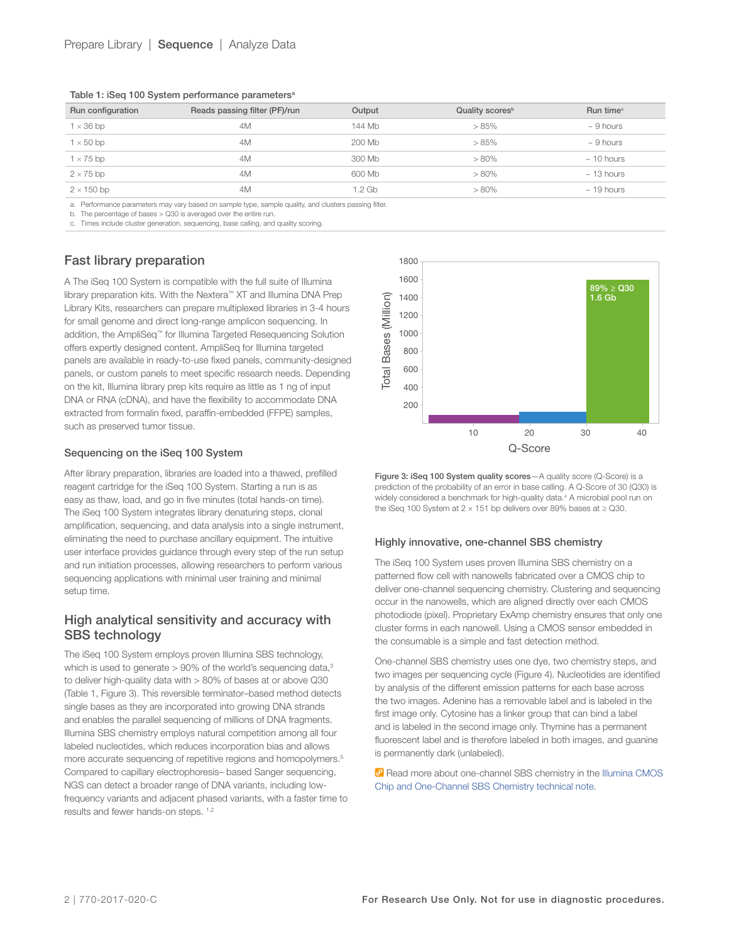Table 1: iSeg 100 System performance parameters<sup>a</sup>

| Run configuration | Reads passing filter (PF)/run | Output | Quality scores <sup>b</sup> | Run time <sup>c</sup> |
|-------------------|-------------------------------|--------|-----------------------------|-----------------------|
| $1 \times 36$ bp  | 4M                            | 144 Mb | >85%                        | $\sim$ 9 hours        |
| $1 \times 50$ bp  | 4M                            | 200 Mb | >85%                        | $\sim$ 9 hours        |
| $1 \times 75$ bp  | 4M                            | 300 Mb | $> 80\%$                    | $\sim$ 10 hours       |
| $2 \times 75$ bp  | 4M                            | 600 Mb | $> 80\%$                    | $\sim$ 13 hours       |
| $2 \times 150$ bp | 4M                            | 1.2 Gb | $> 80\%$                    | $~\sim$ 19 hours      |

a. Performance parameters may vary based on sample type, sample quality, and clusters passing filter.

b. The percentage of bases > Q30 is averaged over the entire run.

c. Times include cluster generation, sequencing, base calling, and quality scoring.

#### Fast library preparation

A The iSeq 100 System is compatible with the full suite of Illumina library preparation kits. With the Nextera™ XT and Illumina DNA Prep Library Kits, researchers can prepare multiplexed libraries in 3-4 hours for small genome and direct long-range amplicon sequencing. In addition, the AmpliSeq™ for Illumina Targeted Resequencing Solution offers expertly designed content. AmpliSeq for Illumina targeted panels are available in ready-to-use fixed panels, community-designed panels, or custom panels to meet specific research needs. Depending on the kit, Illumina library prep kits require as little as 1 ng of input DNA or RNA (cDNA), and have the flexibility to accommodate DNA extracted from formalin fixed, paraffin-embedded (FFPE) samples, such as preserved tumor tissue.

#### Sequencing on the iSeq 100 System

After library preparation, libraries are loaded into a thawed, prefilled reagent cartridge for the iSeq 100 System. Starting a run is as easy as thaw, load, and go in five minutes (total hands-on time). The iSeq 100 System integrates library denaturing steps, clonal amplification, sequencing, and data analysis into a single instrument, eliminating the need to purchase ancillary equipment. The intuitive user interface provides guidance through every step of the run setup and run initiation processes, allowing researchers to perform various sequencing applications with minimal user training and minimal setup time.

# High analytical sensitivity and accuracy with SBS technology

The iSeq 100 System employs proven Illumina SBS technology, which is used to generate  $> 90\%$  of the world's sequencing data, $3$ to deliver high-quality data with > 80% of bases at or above Q30 (Table 1, Figure 3). This reversible terminator–based method detects single bases as they are incorporated into growing DNA strands and enables the parallel sequencing of millions of DNA fragments. Illumina SBS chemistry employs natural competition among all four labeled nucleotides, which reduces incorporation bias and allows more accurate sequencing of repetitive regions and homopolymers.<sup>[5](#page-3-3)</sup> Compared to capillary electrophoresis– based Sanger sequencing, NGS can detect a broader range of DNA variants, including lowfrequency variants and adjacent phased variants, with a faster time to results and fewer hands-on steps. [1](#page-3-0)[,2](#page-3-1)



Figure 3: iSeq 100 System quality scores-A quality score (Q-Score) is a prediction of the probability of an error in base calling. A Q-Score of 30 (Q30) is widely considered a benchmark for high-quality data.<sup>4</sup> A microbial pool run on the iSeq 100 System at  $2 \times 151$  bp delivers over 89% bases at  $\geq$  Q30.

#### Highly innovative, one-channel SBS chemistry

The iSeq 100 System uses proven Illumina SBS chemistry on a patterned flow cell with nanowells fabricated over a CMOS chip to deliver one-channel sequencing chemistry. Clustering and sequencing occur in the nanowells, which are aligned directly over each CMOS photodiode (pixel). Proprietary ExAmp chemistry ensures that only one cluster forms in each nanowell. Using a CMOS sensor embedded in the consumable is a simple and fast detection method.

One-channel SBS chemistry uses one dye, two chemistry steps, and two images per sequencing cycle (Figure 4). Nucleotides are identified by analysis of the different emission patterns for each base across the two images. Adenine has a removable label and is labeled in the first image only. Cytosine has a linker group that can bind a label and is labeled in the second image only. Thymine has a permanent fluorescent label and is therefore labeled in both images, and guanine is permanently dark (unlabeled).

Read more about one-channel SBS chemistry in the Illumina CMOS [Chip and One-Channel SBS Chemistry technical](https://www.illumina.com/content/dam/illumina-marketing/documents/products/techspotlights/cmos-tech-note-770-2013-054.pdf) note.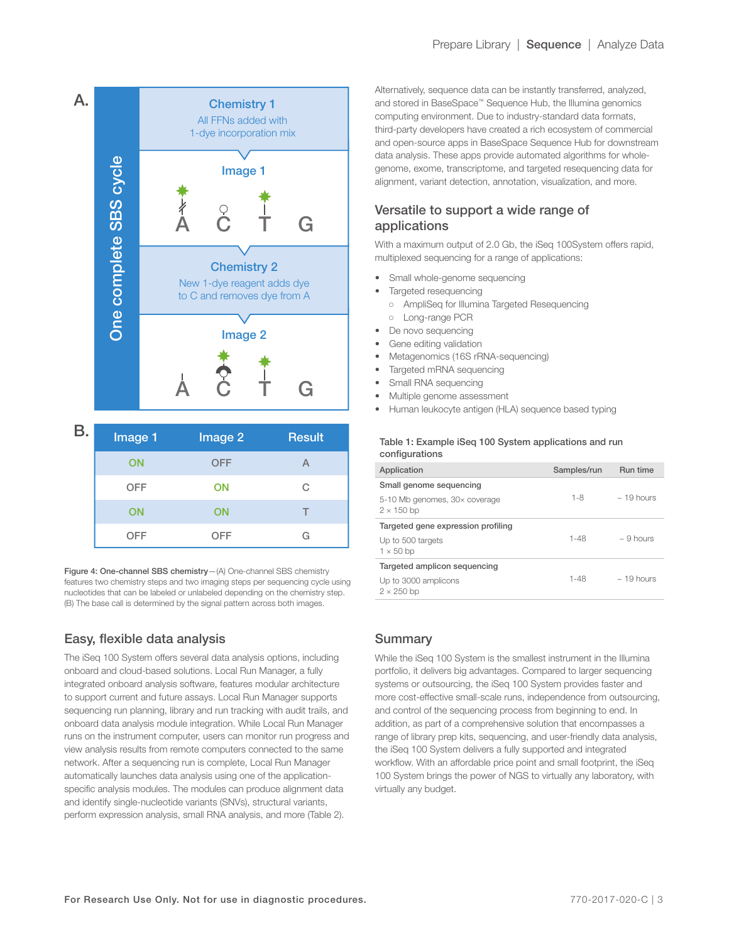

| <b>B.</b> | Image 1    | Image 2    | <b>Result</b> |
|-----------|------------|------------|---------------|
|           | ON         | <b>OFF</b> |               |
|           | <b>OFF</b> | <b>ON</b>  | C.            |
|           | ON         | ON         | $-$           |
|           | <b>OFF</b> | OFF        | G             |

Figure 4: One-channel SBS chemistry—(A) One-channel SBS chemistry features two chemistry steps and two imaging steps per sequencing cycle using nucleotides that can be labeled or unlabeled depending on the chemistry step. (B) The base call is determined by the signal pattern across both images.

# Easy, flexible data analysis

The iSeq 100 System offers several data analysis options, including onboard and cloud-based solutions. Local Run Manager, a fully integrated onboard analysis software, features modular architecture to support current and future assays. Local Run Manager supports sequencing run planning, library and run tracking with audit trails, and onboard data analysis module integration. While Local Run Manager runs on the instrument computer, users can monitor run progress and view analysis results from remote computers connected to the same network. After a sequencing run is complete, Local Run Manager automatically launches data analysis using one of the applicationspecific analysis modules. The modules can produce alignment data and identify single-nucleotide variants (SNVs), structural variants, perform expression analysis, small RNA analysis, and more (Table 2).

Alternatively, sequence data can be instantly transferred, analyzed, and stored in BaseSpace™ Sequence Hub, the Illumina genomics computing environment. Due to industry-standard data formats, third-party developers have created a rich ecosystem of commercial and open-source apps in BaseSpace Sequence Hub for downstream data analysis. These apps provide automated algorithms for wholegenome, exome, transcriptome, and targeted resequencing data for alignment, variant detection, annotation, visualization, and more.

# Versatile to support a wide range of applications

With a maximum output of 2.0 Gb, the iSeq 100System offers rapid, multiplexed sequencing for a range of applications:

- Small whole-genome sequencing
- Targeted resequencing
	- AmpliSeq for Illumina Targeted Resequencing ○ Long-range PCR
- De novo sequencing
- Gene editing validation
- Metagenomics (16S rRNA-sequencing)
- Targeted mRNA sequencing
- Small RNA sequencing
- Multiple genome assessment
- Human leukocyte antigen (HLA) sequence based typing

#### Table 1: Example iSeq 100 System applications and run configurations

| Application                                        | Samples/run | Run time        |
|----------------------------------------------------|-------------|-----------------|
| Small genome sequencing                            |             |                 |
| 5-10 Mb genomes, 30x coverage<br>$2 \times 150$ bp | $1 - 8$     | $\sim$ 19 hours |
| Targeted gene expression profiling                 |             |                 |
| Up to 500 targets<br>$1 \times 50$ bp              | $1 - 48$    | $\sim$ 9 hours  |
| Targeted amplicon sequencing                       |             |                 |
| Up to 3000 amplicons<br>$2 \times 250$ bp          | $1 - 48$    | $\sim$ 19 hours |

# Summary

While the iSeq 100 System is the smallest instrument in the Illumina portfolio, it delivers big advantages. Compared to larger sequencing systems or outsourcing, the iSeq 100 System provides faster and more cost-effective small-scale runs, independence from outsourcing, and control of the sequencing process from beginning to end. In addition, as part of a comprehensive solution that encompasses a range of library prep kits, sequencing, and user-friendly data analysis, the iSeq 100 System delivers a fully supported and integrated workflow. With an affordable price point and small footprint, the iSeq 100 System brings the power of NGS to virtually any laboratory, with virtually any budget.